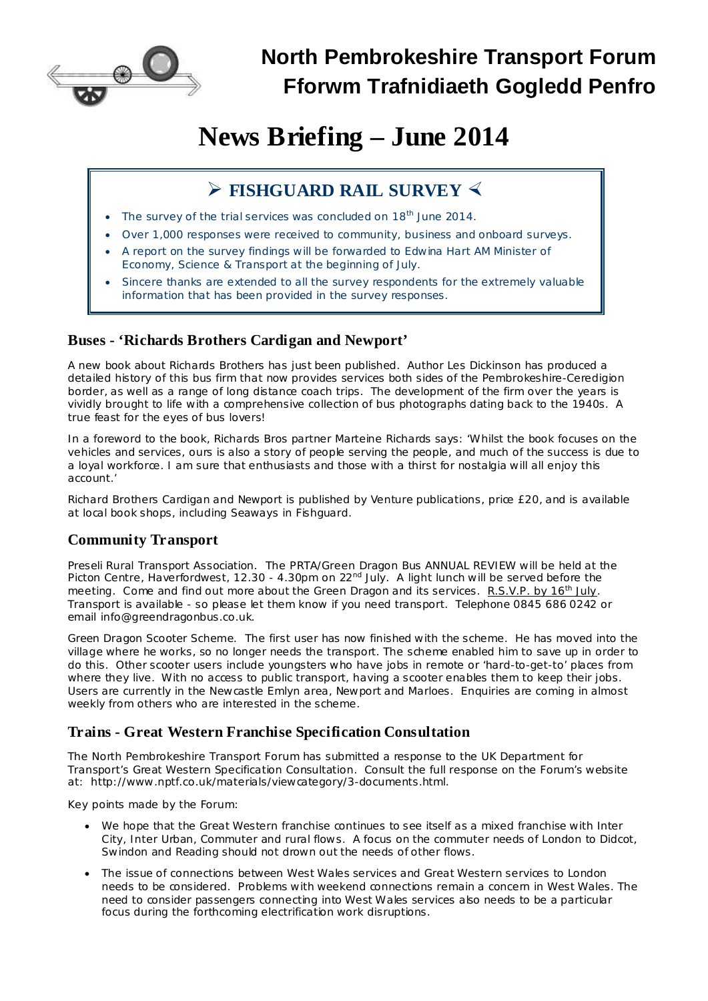

# **News Briefing – June 2014**

## **Ø FISHGUARD RAIL SURVEY ×**

- The survey of the trial services was concluded on 18<sup>th</sup> June 2014.
- Over 1,000 responses were received to community, business and onboard surveys.
- · A report on the survey findings will be forwarded to Edwina Hart AM Minister of Economy, Science & Transport at the beginning of July.
- Sincere thanks are extended to all the survey respondents for the extremely valuable information that has been provided in the survey responses.

### **Buses - 'Richards Brothers Cardigan and Newport'**

A new book about Richards Brothers has just been published. Author Les Dickinson has produced a detailed history of this bus firm that now provides services both sides of the Pembrokeshire-Ceredigion border, as well as a range of long distance coach trips. The development of the firm over the years is vividly brought to life with a comprehensive collection of bus photographs dating back to the 1940s. A true feast for the eyes of bus lovers!

In a foreword to the book, Richards Bros partner Marteine Richards says: 'Whilst the book focuses on the vehicles and services, ours is also a story of people serving the people, and much of the success is due to a loyal workforce. I am sure that enthusiasts and those with a thirst for nostalgia will all enjoy this account.'

Richard Brothers Cardigan and Newport is published by Venture publications, price £20, and is available at local book shops, including Seaways in Fishguard.

### **Community Transport**

*Preseli Rural Transport Association.* The PRTA/Green Dragon Bus ANNUAL REVIEW will be held at the Picton Centre, Haverfordwest, 12.30 - 4.30pm on 22<sup>nd</sup> July. A light lunch will be served before the meeting. Come and find out more about the Green Dragon and its services. R.S.V.P. by 16<sup>th</sup> July. Transport is available - so please let them know if you need transport. *Telephone* 0845 686 0242 or *email* [info@greendragonbus.co.uk.](mailto:info@greendragonbus.co.uk)

*Green Dragon Scooter Scheme.* The first user has now finished with the scheme. He has moved into the village where he works, so no longer needs the transport. The scheme enabled him to save up in order to do this. Other scooter users include youngsters who have jobs in remote or 'hard-to-get-to' places from where they live. With no access to public transport, having a scooter enables them to keep their jobs. Users are currently in the Newcastle Emlyn area, Newport and Marloes. Enquiries are coming in almost weekly from others who are interested in the scheme.

### **Trains - Great Western Franchise Specification Consultation**

The North Pembrokeshire Transport Forum has submitted a response to the UK Department for Transport's Great Western Specification Consultation. Consult the full response on the Forum's website at: [http://www.nptf.co.uk/materials/viewcategory/3-documents.html.](http://www.nptf.co.uk/materials/viewcategory/3-documents.html)

Key points made by the Forum:

- · We hope that the Great Western franchise continues to see itself as a mixed franchise with Inter City, Inter Urban, Commuter and rural flows. A focus on the commuter needs of London to Didcot, Swindon and Reading should not drown out the needs of other flows.
- · The issue of connections between West Wales services and Great Western services to London needs to be considered. Problems with weekend connections remain a concern in West Wales. The need to consider passengers connecting into West Wales services also needs to be a particular focus during the forthcoming electrification work disruptions.